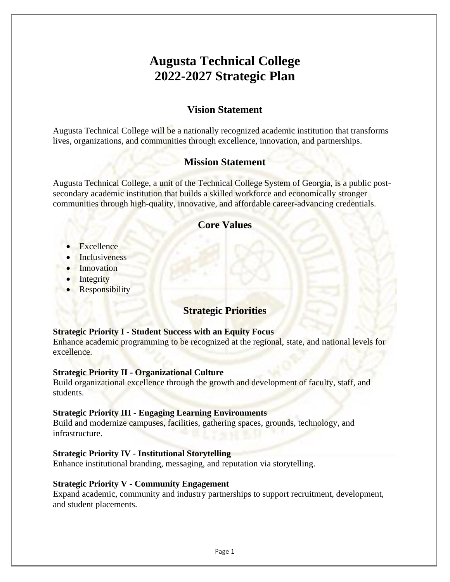# **Augusta Technical College 2022-2027 Strategic Plan**

## **Vision Statement**

Augusta Technical College will be a nationally recognized academic institution that transforms lives, organizations, and communities through excellence, innovation, and partnerships.

## **Mission Statement**

Augusta Technical College, a unit of the Technical College System of Georgia, is a public postsecondary academic institution that builds a skilled workforce and economically stronger communities through high-quality, innovative, and affordable career-advancing credentials.

## **Core Values**

- Excellence
- Inclusiveness
- Innovation
- Integrity
- **Responsibility**

## **Strategic Priorities**

### **Strategic Priority I - Student Success with an Equity Focus**

Enhance academic programming to be recognized at the regional, state, and national levels for excellence.

### **Strategic Priority II - Organizational Culture**

Build organizational excellence through the growth and development of faculty, staff, and students.

### **Strategic Priority III** - **Engaging Learning Environments**

Build and modernize campuses, facilities, gathering spaces, grounds, technology, and infrastructure.

### **Strategic Priority IV** - **Institutional Storytelling**

Enhance institutional branding, messaging, and reputation via storytelling.

#### **Strategic Priority V - Community Engagement**

Expand academic, community and industry partnerships to support recruitment, development, and student placements.